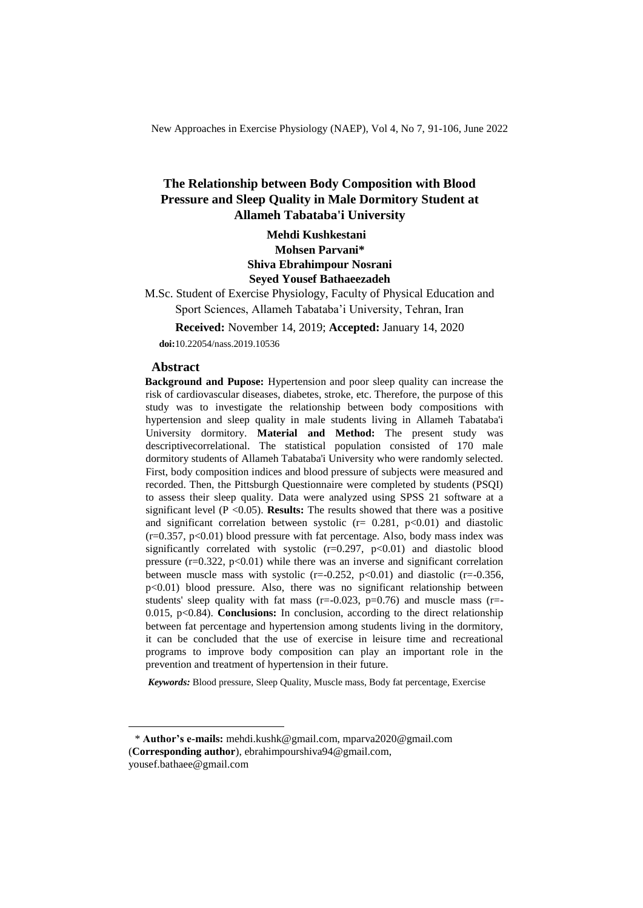New Approaches in Exercise Physiology (NAEP), Vol 4, No 7, 91-106, June 2022

## **The Relationship between Body Composition with Blood Pressure and Sleep Quality in Male Dormitory Student at Allameh Tabataba'i University**

**Mehdi Kushkestani <sup>1</sup> Mohsen Parvani\* Shiva Ebrahimpour Nosrani Seyed Yousef Bathaeezadeh** 

M.Sc. Student of Exercise Physiology, Faculty of Physical Education and

Sport Sciences, Allameh Tabataba'i University, Tehran, Iran

**Received:** November 14, 2019; **Accepted:** January 14, 2020

**doi:**10.22054/nass.2019.10536

#### **Abstract**

 $\overline{a}$ 

**Background and Pupose:** Hypertension and poor sleep quality can increase the risk of cardiovascular diseases, diabetes, stroke, etc. Therefore, the purpose of this study was to investigate the relationship between body compositions with hypertension and sleep quality in male students living in Allameh Tabataba'i University dormitory. **Material and Method:** The present study was descriptivecorrelational. The statistical population consisted of 170 male dormitory students of Allameh Tabataba'i University who were randomly selected. First, body composition indices and blood pressure of subjects were measured and recorded. Then, the Pittsburgh Questionnaire were completed by students (PSQI) to assess their sleep quality. Data were analyzed using SPSS 21 software at a significant level  $(P \le 0.05)$ . **Results:** The results showed that there was a positive and significant correlation between systolic ( $r = 0.281$ ,  $p < 0.01$ ) and diastolic  $(r=0.357, p<0.01)$  blood pressure with fat percentage. Also, body mass index was significantly correlated with systolic  $(r=0.297, p<0.01)$  and diastolic blood pressure  $(r=0.322, p<0.01)$  while there was an inverse and significant correlation between muscle mass with systolic  $(r=-0.252, p<0.01)$  and diastolic  $(r=-0.356,$ p<0.01) blood pressure. Also, there was no significant relationship between students' sleep quality with fat mass  $(r=0.023, p=0.76)$  and muscle mass  $(r=$ 0.015, p<0.84). **Conclusions:** In conclusion, according to the direct relationship between fat percentage and hypertension among students living in the dormitory, it can be concluded that the use of exercise in leisure time and recreational programs to improve body composition can play an important role in the prevention and treatment of hypertension in their future.

*Keywords:* Blood pressure, Sleep Quality, Muscle mass, Body fat percentage, Exercise

<sup>\*</sup> **Author's e-mails:** mehdi.kushk@gmail.com, mparva2020@gmail.com (**Corresponding author**), ebrahimpourshiva94@gmail.com, yousef.bathaee@gmail.com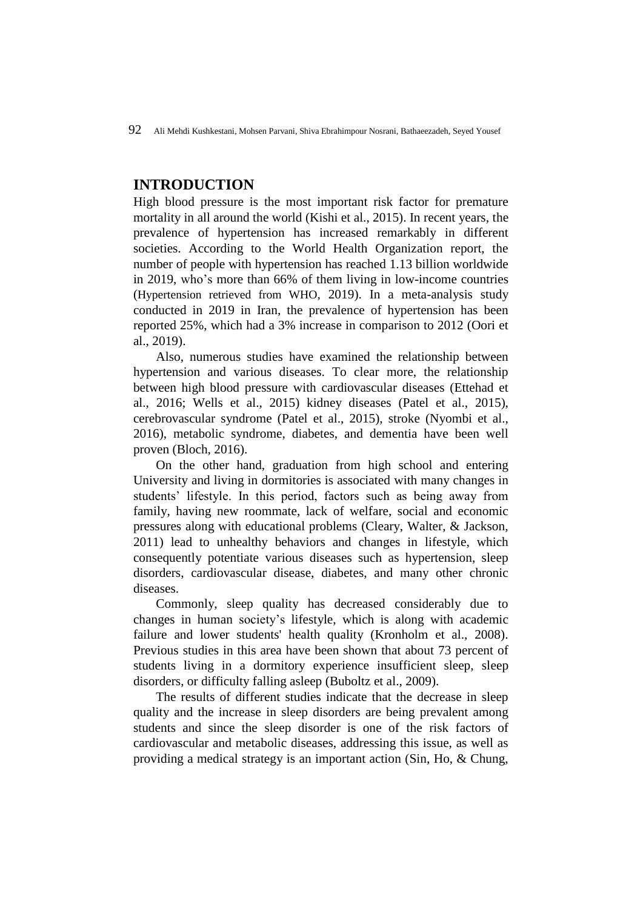## **INTRODUCTION**

High blood pressure is the most important risk factor for premature mortality in all around the world (Kishi et al., 2015). In recent years, the prevalence of hypertension has increased remarkably in different societies. According to the World Health Organization report, the number of people with hypertension has reached 1.13 billion worldwide in 2019, who's more than 66% of them living in low-income countries (Hypertension retrieved from WHO, 2019). In a meta-analysis study conducted in 2019 in Iran, the prevalence of hypertension has been reported 25%, which had a 3% increase in comparison to 2012 (Oori et al., 2019).

Also, numerous studies have examined the relationship between hypertension and various diseases. To clear more, the relationship between high blood pressure with cardiovascular diseases (Ettehad et al., 2016; Wells et al., 2015) kidney diseases (Patel et al., 2015), cerebrovascular syndrome (Patel et al., 2015), stroke (Nyombi et al., 2016), metabolic syndrome, diabetes, and dementia have been well proven (Bloch, 2016).

On the other hand, graduation from high school and entering University and living in dormitories is associated with many changes in students' lifestyle. In this period, factors such as being away from family, having new roommate, lack of welfare, social and economic pressures along with educational problems (Cleary, Walter, & Jackson, 2011) lead to unhealthy behaviors and changes in lifestyle, which consequently potentiate various diseases such as hypertension, sleep disorders, cardiovascular disease, diabetes, and many other chronic diseases.

Commonly, sleep quality has decreased considerably due to changes in human society's lifestyle, which is along with academic failure and lower students' health quality (Kronholm et al., 2008). Previous studies in this area have been shown that about 73 percent of students living in a dormitory experience insufficient sleep, sleep disorders, or difficulty falling asleep (Buboltz et al., 2009).

The results of different studies indicate that the decrease in sleep quality and the increase in sleep disorders are being prevalent among students and since the sleep disorder is one of the risk factors of cardiovascular and metabolic diseases, addressing this issue, as well as providing a medical strategy is an important action (Sin, Ho, & Chung,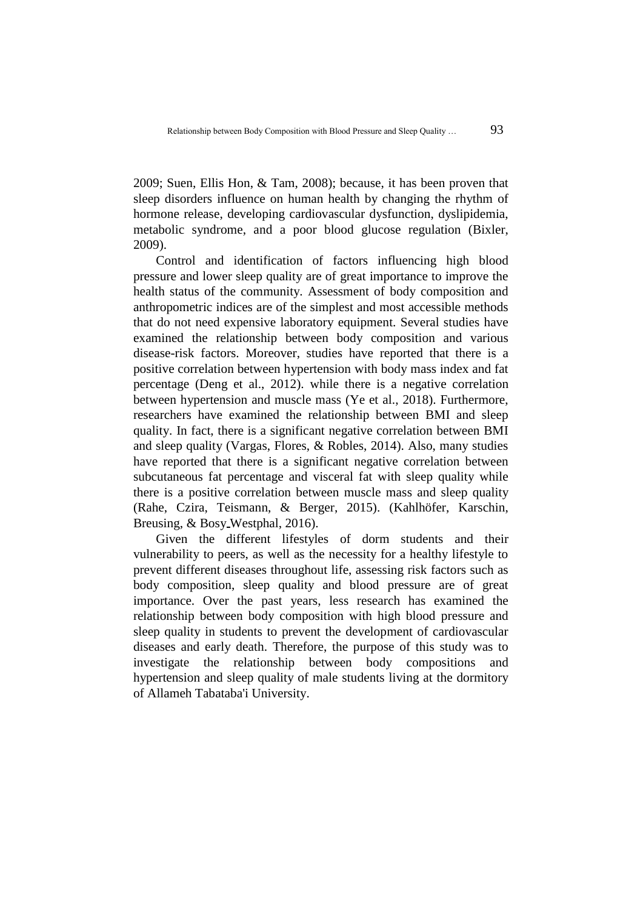2009; Suen, Ellis Hon, & Tam, 2008); because, it has been proven that sleep disorders influence on human health by changing the rhythm of hormone release, developing cardiovascular dysfunction, dyslipidemia, metabolic syndrome, and a poor blood glucose regulation (Bixler, 2009).

Control and identification of factors influencing high blood pressure and lower sleep quality are of great importance to improve the health status of the community. Assessment of body composition and anthropometric indices are of the simplest and most accessible methods that do not need expensive laboratory equipment. Several studies have examined the relationship between body composition and various disease-risk factors. Moreover, studies have reported that there is a positive correlation between hypertension with body mass index and fat percentage (Deng et al., 2012). while there is a negative correlation between hypertension and muscle mass (Ye et al., 2018). Furthermore, researchers have examined the relationship between BMI and sleep quality. In fact, there is a significant negative correlation between BMI and sleep quality (Vargas, Flores, & Robles, 2014). Also, many studies have reported that there is a significant negative correlation between subcutaneous fat percentage and visceral fat with sleep quality while there is a positive correlation between muscle mass and sleep quality (Rahe, Czira, Teismann, & Berger, 2015). (Kahlhöfer, Karschin, Breusing, & Bosy Westphal, 2016).

Given the different lifestyles of dorm students and their vulnerability to peers, as well as the necessity for a healthy lifestyle to prevent different diseases throughout life, assessing risk factors such as body composition, sleep quality and blood pressure are of great importance. Over the past years, less research has examined the relationship between body composition with high blood pressure and sleep quality in students to prevent the development of cardiovascular diseases and early death. Therefore, the purpose of this study was to investigate the relationship between body compositions and hypertension and sleep quality of male students living at the dormitory of Allameh Tabataba'i University.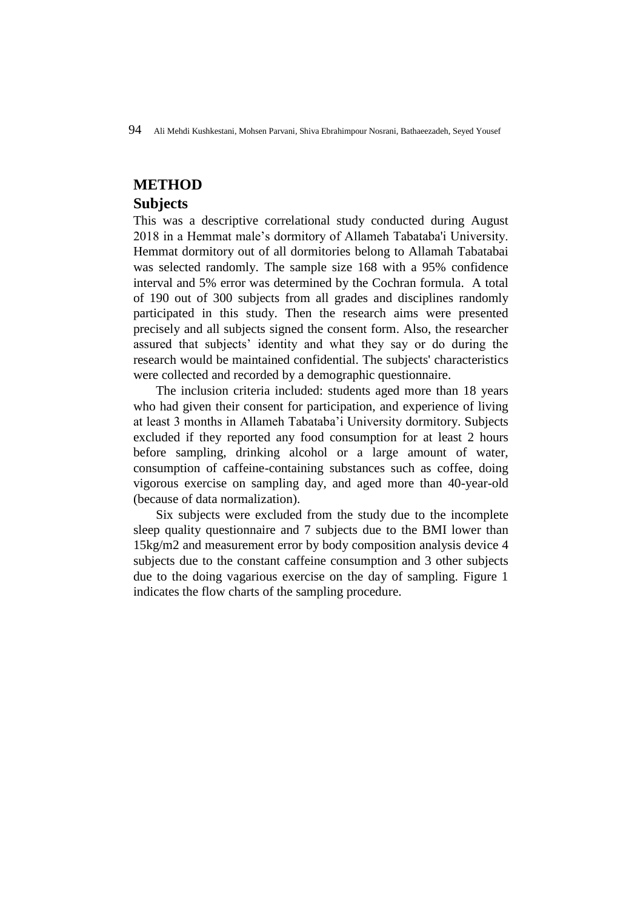### **METHOD**

#### **Subjects**

This was a descriptive correlational study conducted during August 2018 in a Hemmat male's dormitory of Allameh Tabataba'i University. Hemmat dormitory out of all dormitories belong to Allamah Tabatabai was selected randomly. The sample size 168 with a 95% confidence interval and 5% error was determined by the Cochran formula. A total of 190 out of 300 subjects from all grades and disciplines randomly participated in this study. Then the research aims were presented precisely and all subjects signed the consent form. Also, the researcher assured that subjects' identity and what they say or do during the research would be maintained confidential. The subjects' characteristics were collected and recorded by a demographic questionnaire.

The inclusion criteria included: students aged more than 18 years who had given their consent for participation, and experience of living at least 3 months in Allameh Tabataba'i University dormitory. Subjects excluded if they reported any food consumption for at least 2 hours before sampling, drinking alcohol or a large amount of water, consumption of caffeine-containing substances such as coffee, doing vigorous exercise on sampling day, and aged more than 40-year-old (because of data normalization).

Six subjects were excluded from the study due to the incomplete sleep quality questionnaire and 7 subjects due to the BMI lower than 15kg/m2 and measurement error by body composition analysis device 4 subjects due to the constant caffeine consumption and 3 other subjects due to the doing vagarious exercise on the day of sampling. Figure 1 indicates the flow charts of the sampling procedure.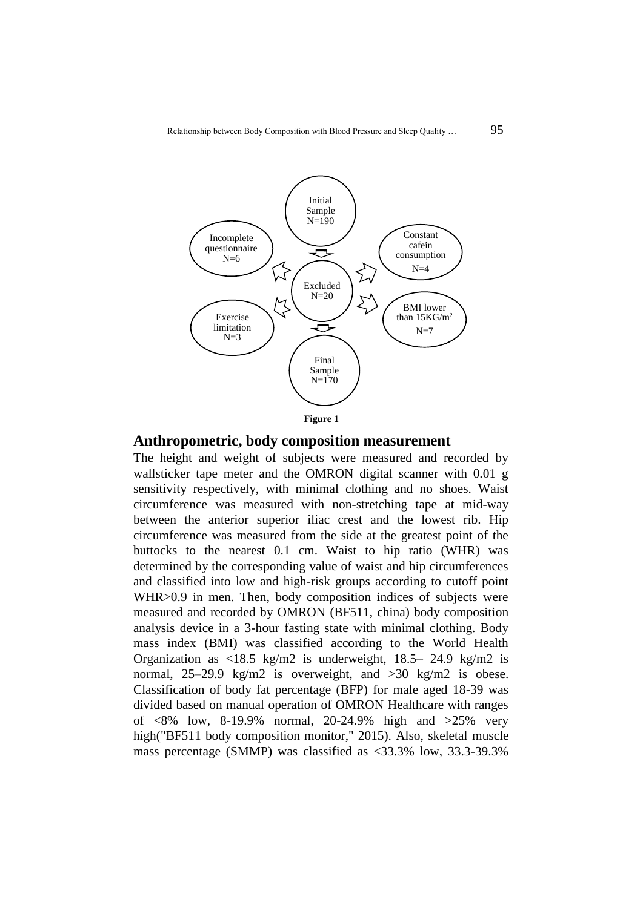

### **Anthropometric, body composition measurement**

The height and weight of subjects were measured and recorded by wallsticker tape meter and the OMRON digital scanner with 0.01 g sensitivity respectively, with minimal clothing and no shoes. Waist circumference was measured with non-stretching tape at mid-way between the anterior superior iliac crest and the lowest rib. Hip circumference was measured from the side at the greatest point of the buttocks to the nearest 0.1 cm. Waist to hip ratio (WHR) was determined by the corresponding value of waist and hip circumferences and classified into low and high-risk groups according to cutoff point WHR>0.9 in men. Then, body composition indices of subjects were measured and recorded by OMRON (BF511, china) body composition analysis device in a 3-hour fasting state with minimal clothing. Body mass index (BMI) was classified according to the World Health Organization as <18.5 kg/m2 is underweight, 18.5– 24.9 kg/m2 is normal, 25–29.9 kg/m2 is overweight, and >30 kg/m2 is obese. Classification of body fat percentage (BFP) for male aged 18-39 was divided based on manual operation of OMRON Healthcare with ranges of <8% low, 8-19.9% normal, 20-24.9% high and >25% very high("BF511 body composition monitor," 2015). Also, skeletal muscle mass percentage (SMMP) was classified as <33.3% low, 33.3-39.3%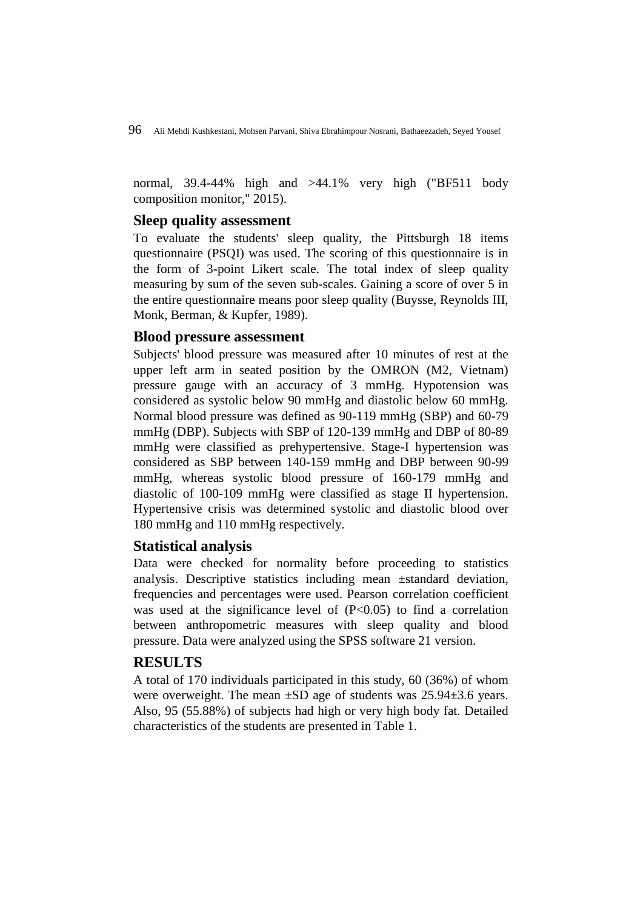normal, 39.4-44% high and >44.1% very high ("BF511 body composition monitor," 2015).

### **Sleep quality assessment**

To evaluate the students' sleep quality, the Pittsburgh 18 items questionnaire (PSQI) was used. The scoring of this questionnaire is in the form of 3-point Likert scale. The total index of sleep quality measuring by sum of the seven sub-scales. Gaining a score of over 5 in the entire questionnaire means poor sleep quality (Buysse, Reynolds III, Monk, Berman, & Kupfer, 1989).

### **Blood pressure assessment**

Subjects' blood pressure was measured after 10 minutes of rest at the upper left arm in seated position by the OMRON (M2, Vietnam) pressure gauge with an accuracy of 3 mmHg. Hypotension was considered as systolic below 90 mmHg and diastolic below 60 mmHg. Normal blood pressure was defined as 90-119 mmHg (SBP) and 60-79 mmHg (DBP). Subjects with SBP of 120-139 mmHg and DBP of 80-89 mmHg were classified as prehypertensive. Stage-I hypertension was considered as SBP between 140-159 mmHg and DBP between 90-99 mmHg, whereas systolic blood pressure of 160-179 mmHg and diastolic of 100-109 mmHg were classified as stage II hypertension. Hypertensive crisis was determined systolic and diastolic blood over 180 mmHg and 110 mmHg respectively.

#### **Statistical analysis**

Data were checked for normality before proceeding to statistics analysis. Descriptive statistics including mean ±standard deviation, frequencies and percentages were used. Pearson correlation coefficient was used at the significance level of  $(P<0.05)$  to find a correlation between anthropometric measures with sleep quality and blood pressure. Data were analyzed using the SPSS software 21 version.

### **RESULTS**

A total of 170 individuals participated in this study, 60 (36%) of whom were overweight. The mean ±SD age of students was 25.94±3.6 years. Also, 95 (55.88%) of subjects had high or very high body fat. Detailed characteristics of the students are presented in Table 1.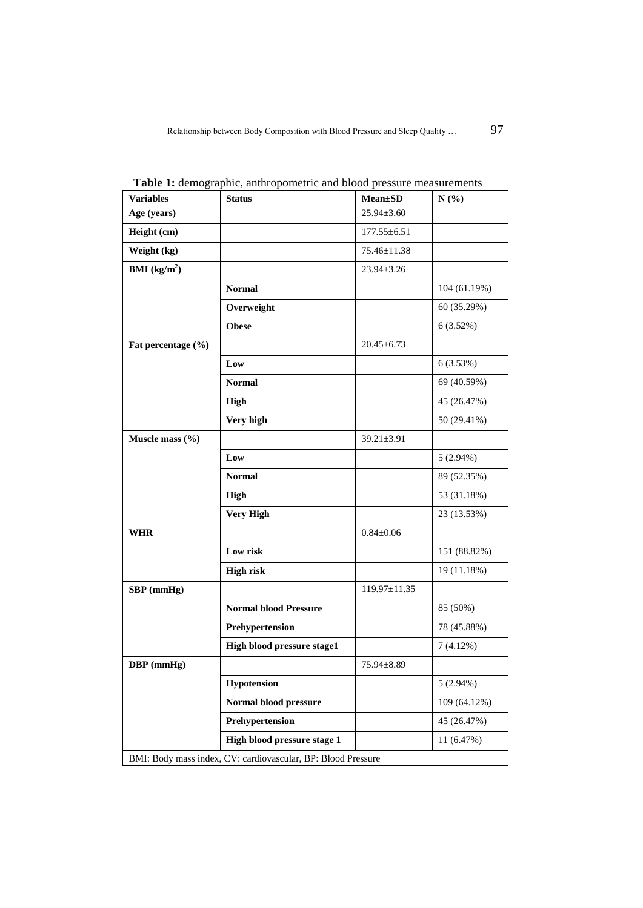| <b>Variables</b>                                             | <b>Status</b>                | <b>Mean</b> ±SD    | N(%)         |  |  |
|--------------------------------------------------------------|------------------------------|--------------------|--------------|--|--|
| Age (years)                                                  |                              | $25.94 \pm 3.60$   |              |  |  |
| Height (cm)                                                  |                              | $177.55 \pm 6.51$  |              |  |  |
| Weight (kg)                                                  |                              | 75.46±11.38        |              |  |  |
| <b>BMI</b> ( $kg/m2$ )                                       |                              | $23.94 \pm 3.26$   |              |  |  |
|                                                              | <b>Normal</b>                |                    | 104(61.19%)  |  |  |
|                                                              | Overweight                   |                    | 60 (35.29%)  |  |  |
|                                                              | <b>Obese</b>                 |                    | 6(3.52%)     |  |  |
| Fat percentage (%)                                           |                              | $20.45 \pm 6.73$   |              |  |  |
|                                                              | Low                          |                    | 6(3.53%)     |  |  |
|                                                              | <b>Normal</b>                |                    | 69 (40.59%)  |  |  |
|                                                              | High                         |                    | 45 (26.47%)  |  |  |
|                                                              | Very high                    |                    | 50 (29.41%)  |  |  |
| Muscle mass $(\% )$                                          |                              | $39.21 \pm 3.91$   |              |  |  |
|                                                              | Low                          |                    | $5(2.94\%)$  |  |  |
|                                                              | <b>Normal</b>                |                    | 89 (52.35%)  |  |  |
|                                                              | High                         |                    | 53 (31.18%)  |  |  |
|                                                              | <b>Very High</b>             |                    | 23 (13.53%)  |  |  |
| <b>WHR</b>                                                   |                              | $0.84 \pm 0.06$    |              |  |  |
|                                                              | Low risk                     |                    | 151 (88.82%) |  |  |
|                                                              | <b>High risk</b>             |                    | 19 (11.18%)  |  |  |
| SBP (mmHg)                                                   |                              | $119.97 \pm 11.35$ |              |  |  |
|                                                              | <b>Normal blood Pressure</b> |                    | 85 (50%)     |  |  |
|                                                              | Prehypertension              |                    | 78 (45.88%)  |  |  |
|                                                              | High blood pressure stage1   |                    | 7(4.12%)     |  |  |
| DBP (mmHg)                                                   |                              | $75.94 \pm 8.89$   |              |  |  |
|                                                              | <b>Hypotension</b>           |                    | $5(2.94\%)$  |  |  |
|                                                              | Normal blood pressure        |                    | 109 (64.12%) |  |  |
|                                                              | Prehypertension              |                    | 45 (26.47%)  |  |  |
|                                                              | High blood pressure stage 1  |                    | 11(6.47%)    |  |  |
| BMI: Body mass index, CV: cardiovascular, BP: Blood Pressure |                              |                    |              |  |  |

**Table 1:** demographic, anthropometric and blood pressure measurements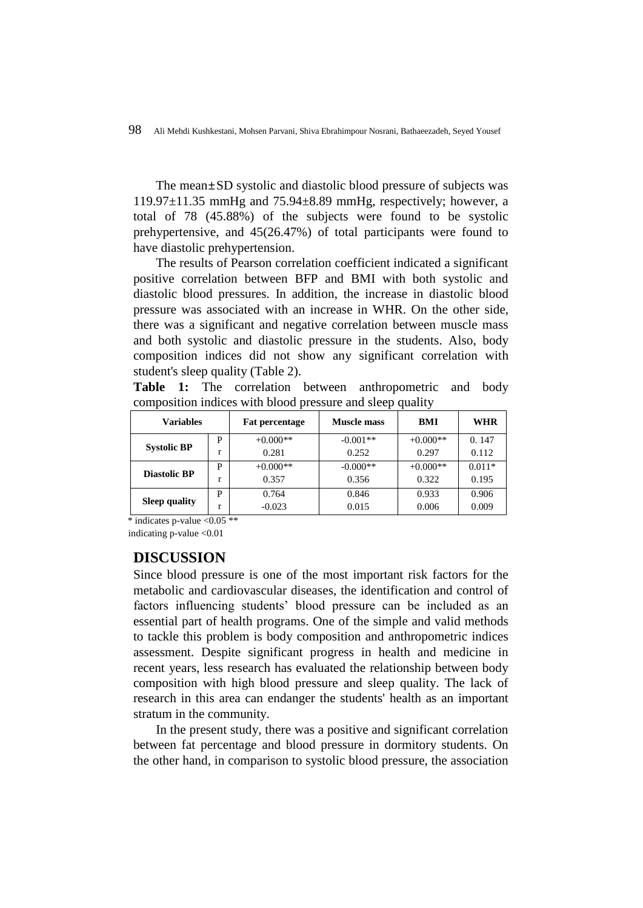The mean $\pm$ SD systolic and diastolic blood pressure of subjects was  $119.97\pm11.35$  mmHg and  $75.94\pm8.89$  mmHg, respectively; however, a total of 78 (45.88%) of the subjects were found to be systolic prehypertensive, and 45(26.47%) of total participants were found to have diastolic prehypertension.

The results of Pearson correlation coefficient indicated a significant positive correlation between BFP and BMI with both systolic and diastolic blood pressures. In addition, the increase in diastolic blood pressure was associated with an increase in WHR. On the other side, there was a significant and negative correlation between muscle mass and both systolic and diastolic pressure in the students. Also, body composition indices did not show any significant correlation with student's sleep quality (Table 2).

**Table 1:** The correlation between anthropometric and body composition indices with blood pressure and sleep quality

| <b>Variables</b>     |   | <b>Fat percentage</b> | Muscle mass | BMI        | <b>WHR</b> |
|----------------------|---|-----------------------|-------------|------------|------------|
| <b>Systolic BP</b>   | P | $+0.000**$            | $-0.001**$  | $+0.000**$ | 0.147      |
|                      |   | 0.281                 | 0.252       | 0.297      | 0.112      |
| <b>Diastolic BP</b>  | P | $+0.000**$            | $-0.000**$  | $+0.000**$ | $0.011*$   |
|                      |   | 0.357                 | 0.356       | 0.322      | 0.195      |
| <b>Sleep quality</b> | P | 0.764                 | 0.846       | 0.933      | 0.906      |
|                      |   | $-0.023$              | 0.015       | 0.006      | 0.009      |

 $*$  indicates p-value  $< 0.05$  \*\*

indicating p-value <0.01

### **DISCUSSION**

Since blood pressure is one of the most important risk factors for the metabolic and cardiovascular diseases, the identification and control of factors influencing students' blood pressure can be included as an essential part of health programs. One of the simple and valid methods to tackle this problem is body composition and anthropometric indices assessment. Despite significant progress in health and medicine in recent years, less research has evaluated the relationship between body composition with high blood pressure and sleep quality. The lack of research in this area can endanger the students' health as an important stratum in the community.

In the present study, there was a positive and significant correlation between fat percentage and blood pressure in dormitory students. On the other hand, in comparison to systolic blood pressure, the association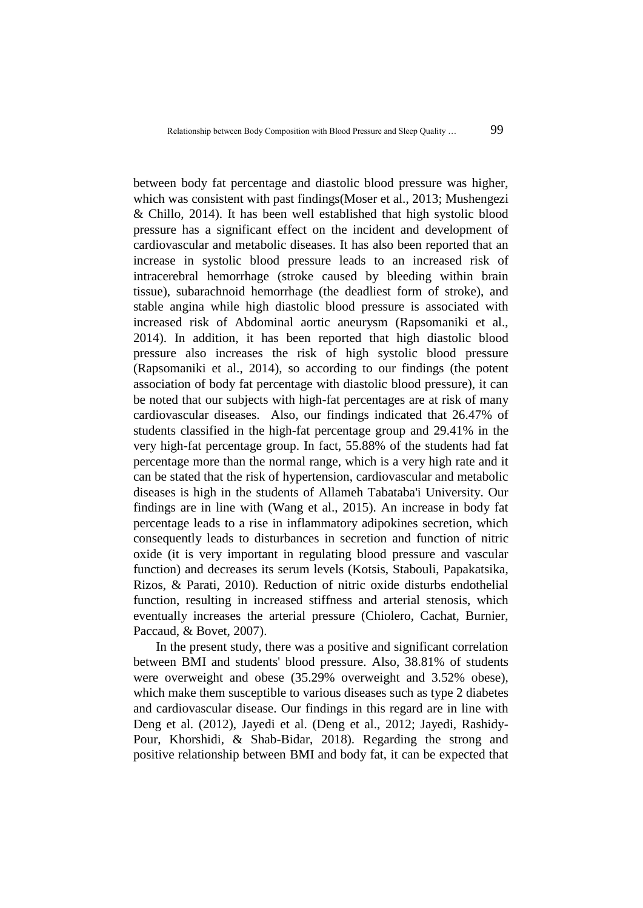between body fat percentage and diastolic blood pressure was higher, which was consistent with past findings(Moser et al., 2013; Mushengezi & Chillo, 2014). It has been well established that high systolic blood pressure has a significant effect on the incident and development of cardiovascular and metabolic diseases. It has also been reported that an increase in systolic blood pressure leads to an increased risk of intracerebral hemorrhage (stroke caused by bleeding within brain tissue), subarachnoid hemorrhage (the deadliest form of stroke), and stable angina while high diastolic blood pressure is associated with increased risk of Abdominal aortic aneurysm (Rapsomaniki et al., 2014). In addition, it has been reported that high diastolic blood pressure also increases the risk of high systolic blood pressure (Rapsomaniki et al., 2014), so according to our findings (the potent association of body fat percentage with diastolic blood pressure), it can be noted that our subjects with high-fat percentages are at risk of many cardiovascular diseases. Also, our findings indicated that 26.47% of students classified in the high-fat percentage group and 29.41% in the very high-fat percentage group. In fact, 55.88% of the students had fat percentage more than the normal range, which is a very high rate and it can be stated that the risk of hypertension, cardiovascular and metabolic diseases is high in the students of Allameh Tabataba'i University. Our findings are in line with (Wang et al., 2015). An increase in body fat percentage leads to a rise in inflammatory adipokines secretion, which consequently leads to disturbances in secretion and function of nitric oxide (it is very important in regulating blood pressure and vascular function) and decreases its serum levels (Kotsis, Stabouli, Papakatsika, Rizos, & Parati, 2010). Reduction of nitric oxide disturbs endothelial function, resulting in increased stiffness and arterial stenosis, which eventually increases the arterial pressure (Chiolero, Cachat, Burnier, Paccaud, & Bovet, 2007).

In the present study, there was a positive and significant correlation between BMI and students' blood pressure. Also, 38.81% of students were overweight and obese (35.29% overweight and 3.52% obese), which make them susceptible to various diseases such as type 2 diabetes and cardiovascular disease. Our findings in this regard are in line with Deng et al. (2012), Jayedi et al. (Deng et al., 2012; Jayedi, Rashidy-Pour, Khorshidi, & Shab-Bidar, 2018). Regarding the strong and positive relationship between BMI and body fat, it can be expected that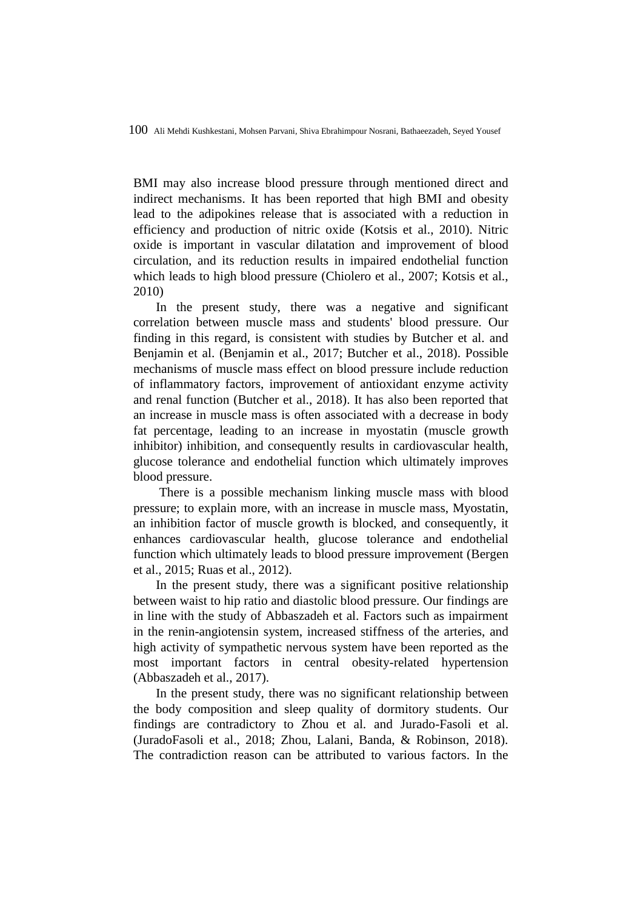BMI may also increase blood pressure through mentioned direct and indirect mechanisms. It has been reported that high BMI and obesity lead to the adipokines release that is associated with a reduction in efficiency and production of nitric oxide (Kotsis et al., 2010). Nitric oxide is important in vascular dilatation and improvement of blood circulation, and its reduction results in impaired endothelial function which leads to high blood pressure (Chiolero et al., 2007; Kotsis et al., 2010)

In the present study, there was a negative and significant correlation between muscle mass and students' blood pressure. Our finding in this regard, is consistent with studies by Butcher et al. and Benjamin et al. (Benjamin et al., 2017; Butcher et al., 2018). Possible mechanisms of muscle mass effect on blood pressure include reduction of inflammatory factors, improvement of antioxidant enzyme activity and renal function (Butcher et al., 2018). It has also been reported that an increase in muscle mass is often associated with a decrease in body fat percentage, leading to an increase in myostatin (muscle growth inhibitor) inhibition, and consequently results in cardiovascular health, glucose tolerance and endothelial function which ultimately improves blood pressure.

There is a possible mechanism linking muscle mass with blood pressure; to explain more, with an increase in muscle mass, Myostatin, an inhibition factor of muscle growth is blocked, and consequently, it enhances cardiovascular health, glucose tolerance and endothelial function which ultimately leads to blood pressure improvement (Bergen et al., 2015; Ruas et al., 2012).

In the present study, there was a significant positive relationship between waist to hip ratio and diastolic blood pressure. Our findings are in line with the study of Abbaszadeh et al. Factors such as impairment in the renin-angiotensin system, increased stiffness of the arteries, and high activity of sympathetic nervous system have been reported as the most important factors in central obesity-related hypertension (Abbaszadeh et al., 2017).

In the present study, there was no significant relationship between the body composition and sleep quality of dormitory students. Our findings are contradictory to Zhou et al. and Jurado-Fasoli et al. (JuradoFasoli et al., 2018; Zhou, Lalani, Banda, & Robinson, 2018). The contradiction reason can be attributed to various factors. In the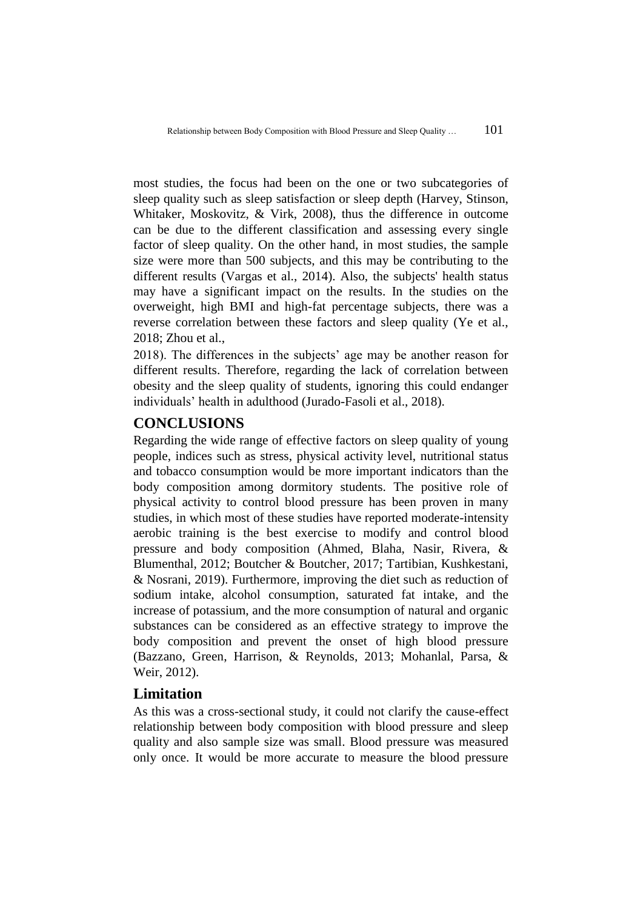most studies, the focus had been on the one or two subcategories of sleep quality such as sleep satisfaction or sleep depth (Harvey, Stinson, Whitaker, Moskovitz, & Virk, 2008), thus the difference in outcome can be due to the different classification and assessing every single factor of sleep quality. On the other hand, in most studies, the sample size were more than 500 subjects, and this may be contributing to the different results (Vargas et al., 2014). Also, the subjects' health status may have a significant impact on the results. In the studies on the overweight, high BMI and high-fat percentage subjects, there was a reverse correlation between these factors and sleep quality (Ye et al., 2018; Zhou et al.,

2018). The differences in the subjects' age may be another reason for different results. Therefore, regarding the lack of correlation between obesity and the sleep quality of students, ignoring this could endanger individuals' health in adulthood (Jurado-Fasoli et al., 2018).

# **CONCLUSIONS**

Regarding the wide range of effective factors on sleep quality of young people, indices such as stress, physical activity level, nutritional status and tobacco consumption would be more important indicators than the body composition among dormitory students. The positive role of physical activity to control blood pressure has been proven in many studies, in which most of these studies have reported moderate-intensity aerobic training is the best exercise to modify and control blood pressure and body composition (Ahmed, Blaha, Nasir, Rivera, & Blumenthal, 2012; Boutcher & Boutcher, 2017; Tartibian, Kushkestani, & Nosrani, 2019). Furthermore, improving the diet such as reduction of sodium intake, alcohol consumption, saturated fat intake, and the increase of potassium, and the more consumption of natural and organic substances can be considered as an effective strategy to improve the body composition and prevent the onset of high blood pressure (Bazzano, Green, Harrison, & Reynolds, 2013; Mohanlal, Parsa, & Weir, 2012).

### **Limitation**

As this was a cross-sectional study, it could not clarify the cause-effect relationship between body composition with blood pressure and sleep quality and also sample size was small. Blood pressure was measured only once. It would be more accurate to measure the blood pressure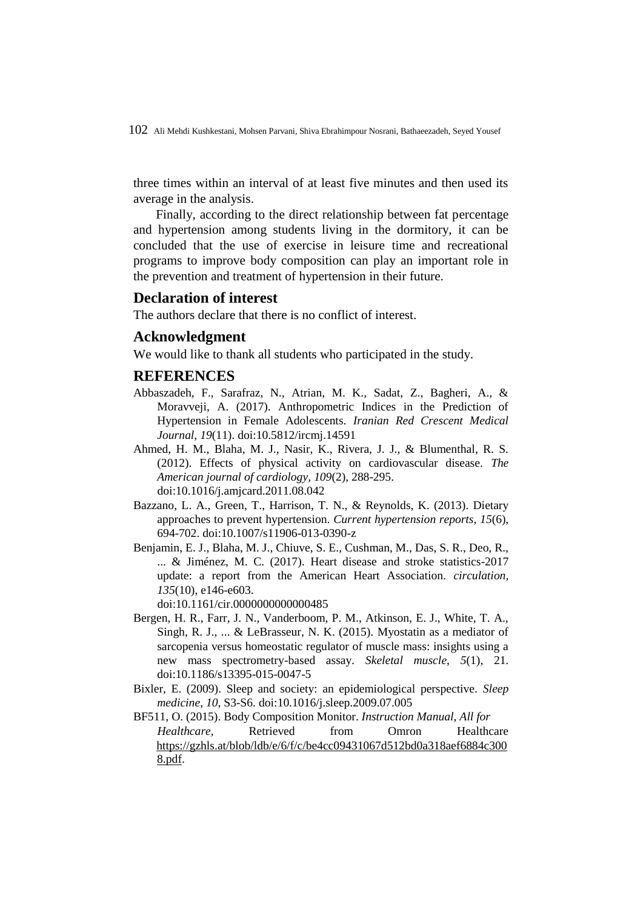three times within an interval of at least five minutes and then used its average in the analysis.

Finally, according to the direct relationship between fat percentage and hypertension among students living in the dormitory, it can be concluded that the use of exercise in leisure time and recreational programs to improve body composition can play an important role in the prevention and treatment of hypertension in their future.

### **Declaration of interest**

The authors declare that there is no conflict of interest.

### **Acknowledgment**

We would like to thank all students who participated in the study.

#### **REFERENCES**

- Abbaszadeh, F., Sarafraz, N., Atrian, M. K., Sadat, Z., Bagheri, A., & Moravveji, A. (2017). Anthropometric Indices in the Prediction of Hypertension in Female Adolescents. *Iranian Red Crescent Medical Journal*, *19*(11). doi:10.5812/ircmj.14591
- Ahmed, H. M., Blaha, M. J., Nasir, K., Rivera, J. J., & Blumenthal, R. S. (2012). Effects of physical activity on cardiovascular disease. *The American journal of cardiology*, *109*(2), 288-295. doi:10.1016/j.amjcard.2011.08.042
- Bazzano, L. A., Green, T., Harrison, T. N., & Reynolds, K. (2013). Dietary approaches to prevent hypertension. *Current hypertension reports*, *15*(6), 694-702. doi:10.1007/s11906-013-0390-z
- Benjamin, E. J., Blaha, M. J., Chiuve, S. E., Cushman, M., Das, S. R., Deo, R., ... & Jiménez, M. C. (2017). Heart disease and stroke statistics-2017 update: a report from the American Heart Association. *circulation*, *135*(10), e146-e603.

doi:10.1161/cir.0000000000000485

- Bergen, H. R., Farr, J. N., Vanderboom, P. M., Atkinson, E. J., White, T. A., Singh, R. J., ... & LeBrasseur, N. K. (2015). Myostatin as a mediator of sarcopenia versus homeostatic regulator of muscle mass: insights using a new mass spectrometry-based assay. *Skeletal muscle*, *5*(1), 21. doi:10.1186/s13395-015-0047-5
- Bixler, E. (2009). Sleep and society: an epidemiological perspective. *Sleep medicine*, *10*, S3-S6. doi[:10.1016/j.sleep.2009.07.005](https://doi.org/10.1016/j.sleep.2009.07.005)
- BF511, O. (2015). Body Composition Monitor. *Instruction Manual, All for Healthcare*, Retrieved from Omron Healthcare [https://gzhls.at/blob/ldb/e/6/f/c/be4cc09431067d512bd0a318aef6884c300](https://gzhls.at/blob/ldb/e/6/f/c/be4cc09431067d512bd0a318aef6884c3008.pdf)  [8.pdf.](https://gzhls.at/blob/ldb/e/6/f/c/be4cc09431067d512bd0a318aef6884c3008.pdf)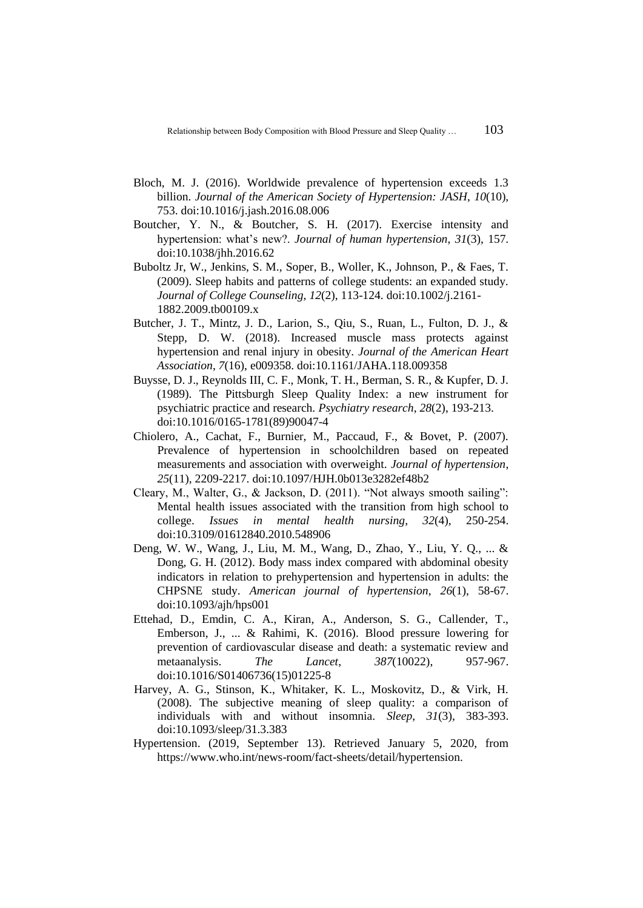- Bloch, M. J. (2016). Worldwide prevalence of hypertension exceeds 1.3 billion. *Journal of the American Society of Hypertension: JASH*, *10*(10), 753. doi[:10.1016/j.jash.2016.08.006](https://doi.org/10.1016/j.jash.2016.08.006)
- Boutcher, Y. N., & Boutcher, S. H. (2017). Exercise intensity and hypertension: what's new?. *Journal of human hypertension*, *31*(3), 157. doi:10.1038/jhh.2016.62
- Buboltz Jr, W., Jenkins, S. M., Soper, B., Woller, K., Johnson, P., & Faes, T. (2009). Sleep habits and patterns of college students: an expanded study. *Journal of College Counseling*, *12*(2), 113-124. doi[:10.1002/j.2161-](https://doi.org/10.1002/j.2161-1882.2009.tb00109.x) [1882.2009.tb00109.x](https://doi.org/10.1002/j.2161-1882.2009.tb00109.x)
- Butcher, J. T., Mintz, J. D., Larion, S., Qiu, S., Ruan, L., Fulton, D. J., & Stepp, D. W. (2018). Increased muscle mass protects against hypertension and renal injury in obesity. *Journal of the American Heart Association*, *7*(16), e009358. doi:10.1161/JAHA.118.009358
- Buysse, D. J., Reynolds III, C. F., Monk, T. H., Berman, S. R., & Kupfer, D. J. (1989). The Pittsburgh Sleep Quality Index: a new instrument for psychiatric practice and research. *Psychiatry research*, *28*(2), 193-213. doi[:10.1016/0165-1781\(89\)90047-4](https://doi.org/10.1016/0165-1781(89)90047-4)
- Chiolero, A., Cachat, F., Burnier, M., Paccaud, F., & Bovet, P. (2007). Prevalence of hypertension in schoolchildren based on repeated measurements and association with overweight. *Journal of hypertension*, *25*(11), 2209-2217. doi:10.1097/HJH.0b013e3282ef48b2
- Cleary, M., Walter, G., & Jackson, D. (2011). "Not always smooth sailing": Mental health issues associated with the transition from high school to college. *Issues in mental health nursing*, *32*(4), 250-254. doi[:10.3109/01612840.2010.548906](https://doi.org/10.3109/01612840.2010.548906)
- Deng, W. W., Wang, J., Liu, M. M., Wang, D., Zhao, Y., Liu, Y. Q., ... & Dong, G. H. (2012). Body mass index compared with abdominal obesity indicators in relation to prehypertension and hypertension in adults: the CHPSNE study. *American journal of hypertension*, *26*(1), 58-67. doi[:10.1093/ajh/hps001](https://doi.org/10.1093/ajh/hps001)
- Ettehad, D., Emdin, C. A., Kiran, A., Anderson, S. G., Callender, T., Emberson, J., ... & Rahimi, K. (2016). Blood pressure lowering for prevention of cardiovascular disease and death: a systematic review and metaanalysis. *The Lancet*, *387*(10022), 957-967. doi[:10.1016/S01406736\(15\)01225-8](https://doi.org/10.1016/S0140-6736(15)01225-8)
- Harvey, A. G., Stinson, K., Whitaker, K. L., Moskovitz, D., & Virk, H. (2008). The subjective meaning of sleep quality: a comparison of individuals with and without insomnia. *Sleep*, *31*(3), 383-393. doi:10.1093/sleep/31.3.383
- Hypertension. (2019, September 13). Retrieved January 5, 2020, from https://www.who.int/news-room/fact-sheets/detail/hypertension.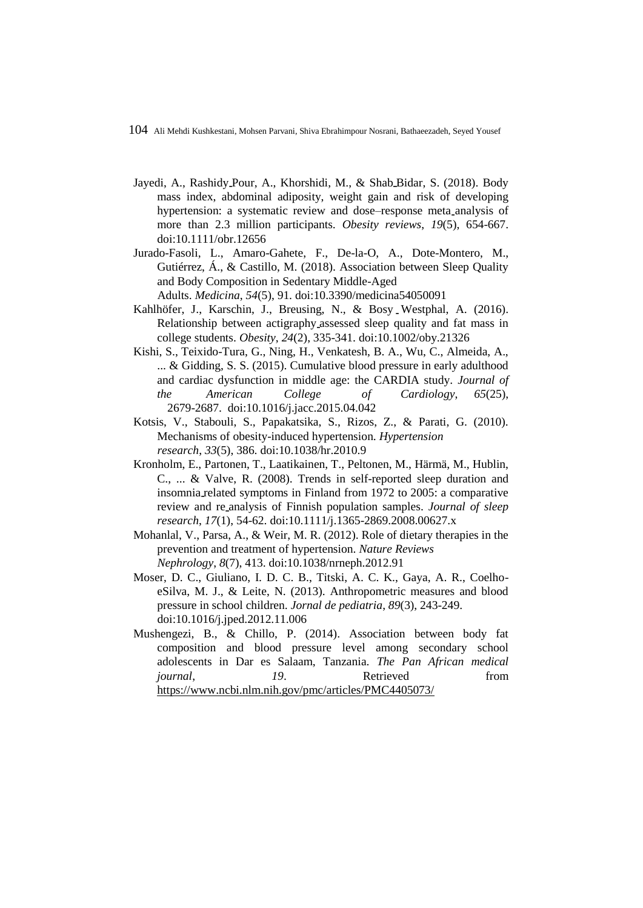- Jayedi, A., Rashidy Pour, A., Khorshidi, M., & Shab Bidar, S. (2018). Body mass index, abdominal adiposity, weight gain and risk of developing hypertension: a systematic review and dose–response meta analysis of more than 2.3 million participants. *Obesity reviews*, *19*(5), 654-667. doi:10.1111/obr.12656
- Jurado-Fasoli, L., Amaro-Gahete, F., De-la-O, A., Dote-Montero, M., Gutiérrez, Á., & Castillo, M. (2018). Association between Sleep Quality and Body Composition in Sedentary Middle-Aged Adults. *Medicina*, *54*(5), 91. doi:10.3390/medicina54050091
- Kahlhöfer, J., Karschin, J., Breusing, N., & Bosy Westphal, A. (2016). Relationship between actigraphy assessed sleep quality and fat mass in college students. *Obesity*, *24*(2), 335-341. doi[:10.1002/oby.21326](https://doi.org/10.1002/oby.21326)
- Kishi, S., Teixido-Tura, G., Ning, H., Venkatesh, B. A., Wu, C., Almeida, A., ... & Gidding, S. S. (2015). Cumulative blood pressure in early adulthood and cardiac dysfunction in middle age: the CARDIA study. *Journal of the American College of Cardiology*, *65*(25), 2679-2687. doi:10.1016/j.jacc.2015.04.042
- Kotsis, V., Stabouli, S., Papakatsika, S., Rizos, Z., & Parati, G. (2010). Mechanisms of obesity-induced hypertension. *Hypertension research*, *33*(5), 386. doi:10.1038/hr.2010.9
- Kronholm, E., Partonen, T., Laatikainen, T., Peltonen, M., Härmä, M., Hublin, C., ... & Valve, R. (2008). Trends in self-reported sleep duration and insomnia related symptoms in Finland from 1972 to 2005: a comparative review and re analysis of Finnish population samples. *Journal of sleep research*, *17*(1), 54-62. doi[:10.1111/j.1365-2869.2008.00627.x](https://doi.org/10.1111/j.1365-2869.2008.00627.x)
- Mohanlal, V., Parsa, A., & Weir, M. R. (2012). Role of dietary therapies in the prevention and treatment of hypertension. *Nature Reviews Nephrology*, *8*(7), 413. doi:10.1038/nrneph.2012.91
- Moser, D. C., Giuliano, I. D. C. B., Titski, A. C. K., Gaya, A. R., CoelhoeSilva, M. J., & Leite, N. (2013). Anthropometric measures and blood pressure in school children. *Jornal de pediatria*, *89*(3), 243-249. doi[:10.1016/j.jped.2012.11.006](https://doi.org/10.1016/j.jped.2012.11.006)
- Mushengezi, B., & Chillo, P. (2014). Association between body fat composition and blood pressure level among secondary school adolescents in Dar es Salaam, Tanzania. *The Pan African medical journal*, *19.* Retrieved from <https://www.ncbi.nlm.nih.gov/pmc/articles/PMC4405073/>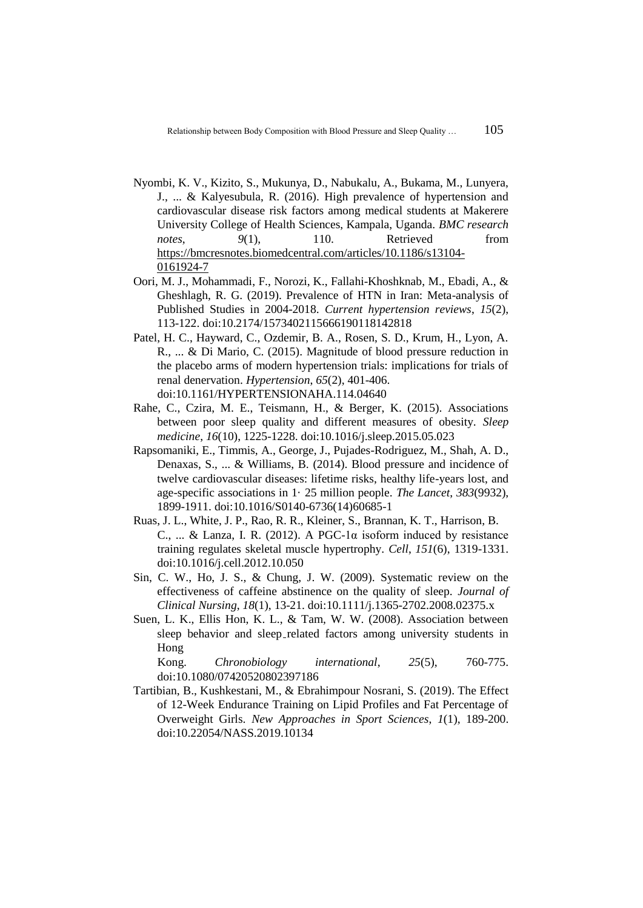- Nyombi, K. V., Kizito, S., Mukunya, D., Nabukalu, A., Bukama, M., Lunyera, J., ... & Kalyesubula, R. (2016). High prevalence of hypertension and cardiovascular disease risk factors among medical students at Makerere University College of Health Sciences, Kampala, Uganda. *BMC research notes*,  $9(1)$ , 110. Retrieved from [https://bmcresnotes.biomedcentral.com/articles/10.1186/s13104-](https://bmcresnotes.biomedcentral.com/articles/10.1186/s13104-016-1924-7) [0161924-7](https://bmcresnotes.biomedcentral.com/articles/10.1186/s13104-016-1924-7)
- Oori, M. J., Mohammadi, F., Norozi, K., Fallahi-Khoshknab, M., Ebadi, A., & Gheshlagh, R. G. (2019). Prevalence of HTN in Iran: Meta-analysis of Published Studies in 2004-2018. *Current hypertension reviews*, *15*(2), 113-122. doi:10.2174/1573402115666190118142818
- Patel, H. C., Hayward, C., Ozdemir, B. A., Rosen, S. D., Krum, H., Lyon, A. R., ... & Di Mario, C. (2015). Magnitude of blood pressure reduction in the placebo arms of modern hypertension trials: implications for trials of renal denervation. *Hypertension*, *65*(2), 401-406. doi:10.1161/HYPERTENSIONAHA.114.04640
- Rahe, C., Czira, M. E., Teismann, H., & Berger, K. (2015). Associations between poor sleep quality and different measures of obesity. *Sleep medicine*, *16*(10), 1225-1228. doi[:10.1016/j.sleep.2015.05.023](https://doi.org/10.1016/j.sleep.2015.05.023)
- Rapsomaniki, E., Timmis, A., George, J., Pujades-Rodriguez, M., Shah, A. D., Denaxas, S., ... & Williams, B. (2014). Blood pressure and incidence of twelve cardiovascular diseases: lifetime risks, healthy life-years lost, and age-specific associations in 1· 25 million people. *The Lancet*, *383*(9932), 1899-1911. doi[:10.1016/S0140-6736\(14\)60685-1](https://doi.org/10.1016/S0140-6736(14)60685-1)
- Ruas, J. L., White, J. P., Rao, R. R., Kleiner, S., Brannan, K. T., Harrison, B. C., ... & Lanza, I. R. (2012). A PGC-1 $\alpha$  isoform induced by resistance training regulates skeletal muscle hypertrophy. *Cell*, *151*(6), 1319-1331. doi:10.1016/j.cell.2012.10.050
- Sin, C. W., Ho, J. S., & Chung, J. W. (2009). Systematic review on the effectiveness of caffeine abstinence on the quality of sleep. *Journal of Clinical Nursing*, *18*(1), 13-21. doi[:10.1111/j.1365-2702.2008.02375.x](https://doi.org/10.1111/j.1365-2702.2008.02375.x)
- Suen, L. K., Ellis Hon, K. L., & Tam, W. W. (2008). Association between sleep behavior and sleep related factors among university students in Hong

Kong. *Chronobiology international*, *25*(5), 760-775. doi[:10.1080/07420520802397186](https://doi.org/10.1080/07420520802397186)

Tartibian, B., Kushkestani, M., & Ebrahimpour Nosrani, S. (2019). The Effect of 12-Week Endurance Training on Lipid Profiles and Fat Percentage of Overweight Girls. *New Approaches in Sport Sciences*, *1*(1), 189-200. doi[:10.22054/NASS.2019.10134](https://dx.doi.org/10.22054/nass.2019.10134)